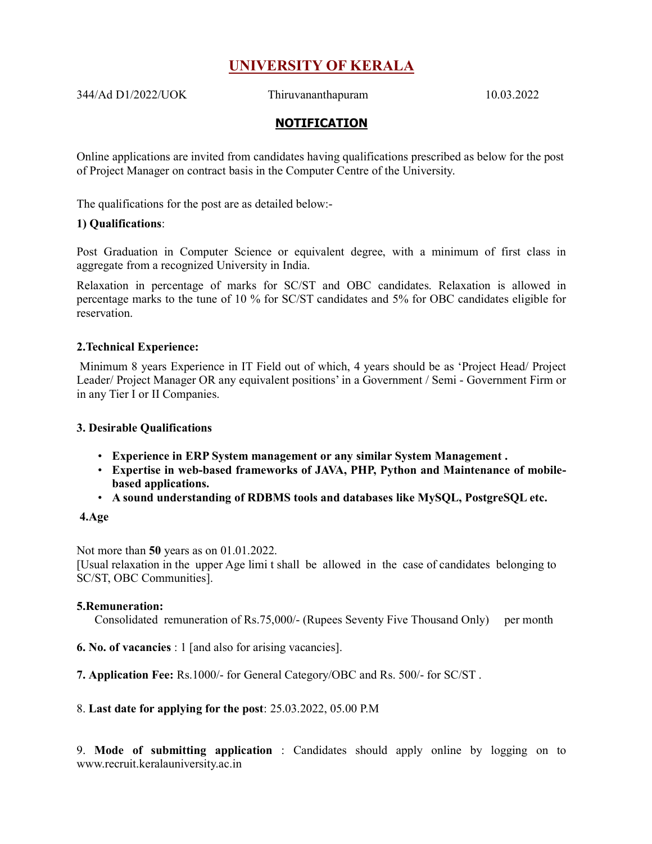# UNIVERSITY OF KERALA

344/Ad D1/2022/UOK Thiruvananthapuram 10.03.2022

## NOTIFICATION

Online applications are invited from candidates having qualifications prescribed as below for the post of Project Manager on contract basis in the Computer Centre of the University.

The qualifications for the post are as detailed below:-

#### 1) Qualifications:

Post Graduation in Computer Science or equivalent degree, with a minimum of first class in aggregate from a recognized University in India.

Relaxation in percentage of marks for SC/ST and OBC candidates. Relaxation is allowed in percentage marks to the tune of 10 % for SC/ST candidates and 5% for OBC candidates eligible for reservation.

#### 2.Technical Experience:

 Minimum 8 years Experience in IT Field out of which, 4 years should be as 'Project Head/ Project Leader/ Project Manager OR any equivalent positions' in a Government / Semi - Government Firm or in any Tier I or II Companies.

#### 3. Desirable Qualifications

- Experience in ERP System management or any similar System Management .
- Expertise in web-based frameworks of JAVA, PHP, Python and Maintenance of mobilebased applications.
- A sound understanding of RDBMS tools and databases like MySQL, PostgreSQL etc.

#### 4.Age

Not more than 50 years as on 01.01.2022.

[Usual relaxation in the upper Age limi t shall be allowed in the case of candidates belonging to SC/ST, OBC Communities].

#### 5.Remuneration:

Consolidated remuneration of Rs.75,000/- (Rupees Seventy Five Thousand Only) per month

- 6. No. of vacancies : 1 [and also for arising vacancies].
- 7. Application Fee: Rs.1000/- for General Category/OBC and Rs. 500/- for SC/ST .

#### 8. Last date for applying for the post: 25.03.2022, 05.00 P.M

9. Mode of submitting application : Candidates should apply online by logging on to www.recruit.keralauniversity.ac.in